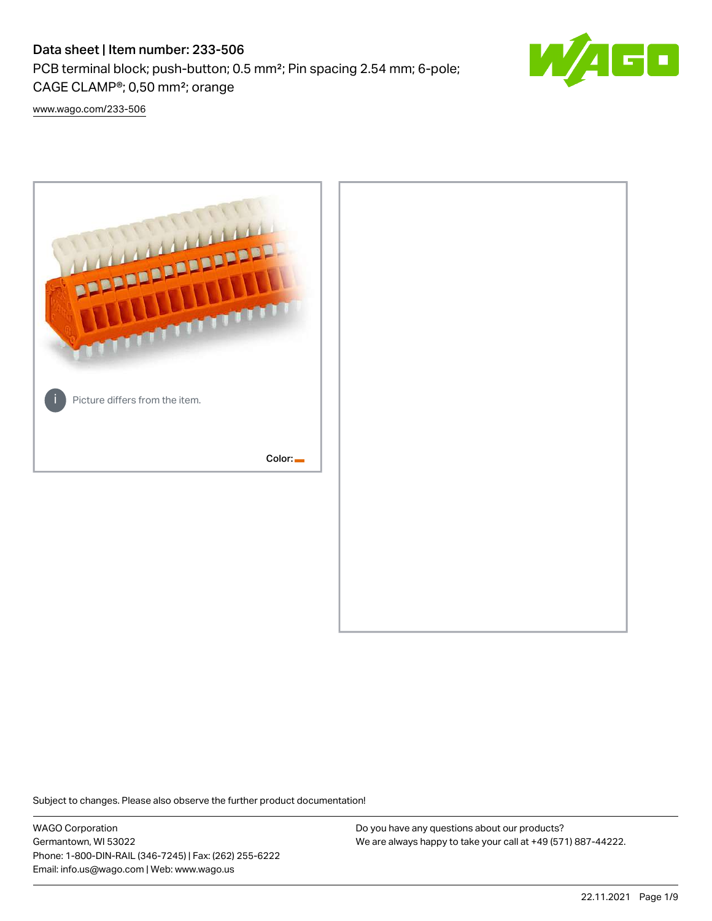# Data sheet | Item number: 233-506

PCB terminal block; push-button; 0.5 mm²; Pin spacing 2.54 mm; 6-pole; CAGE CLAMP®; 0,50 mm²; orange



[www.wago.com/233-506](http://www.wago.com/233-506)



Subject to changes. Please also observe the further product documentation!

WAGO Corporation Germantown, WI 53022 Phone: 1-800-DIN-RAIL (346-7245) | Fax: (262) 255-6222 Email: info.us@wago.com | Web: www.wago.us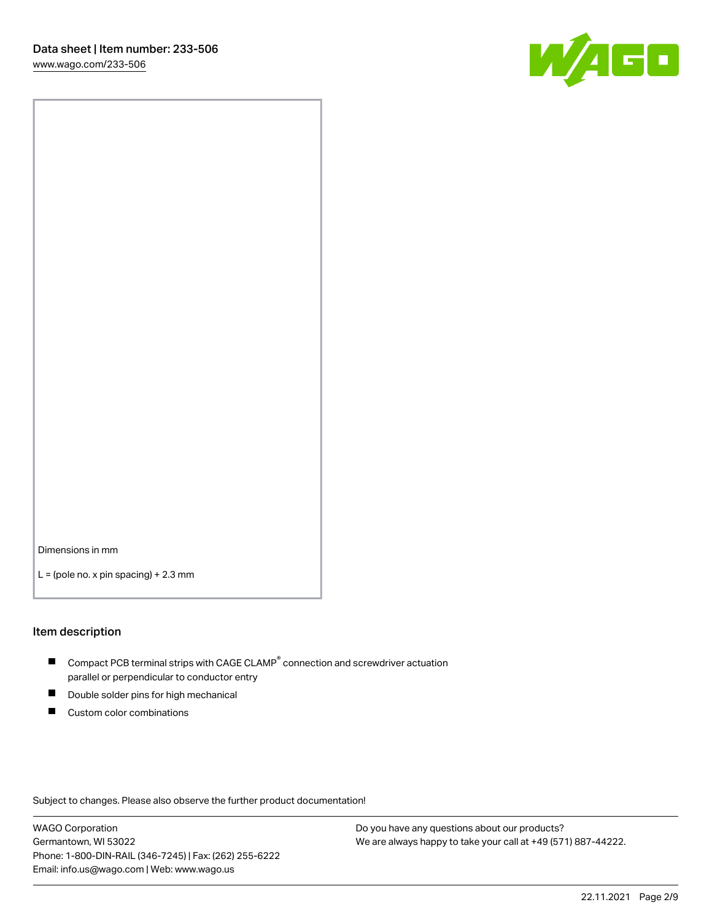

Dimensions in mm

 $L =$  (pole no. x pin spacing) + 2.3 mm

#### Item description

- $\blacksquare$  Compact PCB terminal strips with CAGE CLAMP<sup>®</sup> connection and screwdriver actuation parallel or perpendicular to conductor entry
- П Double solder pins for high mechanical
- $\blacksquare$ Custom color combinations

Subject to changes. Please also observe the further product documentation!

WAGO Corporation Germantown, WI 53022 Phone: 1-800-DIN-RAIL (346-7245) | Fax: (262) 255-6222 Email: info.us@wago.com | Web: www.wago.us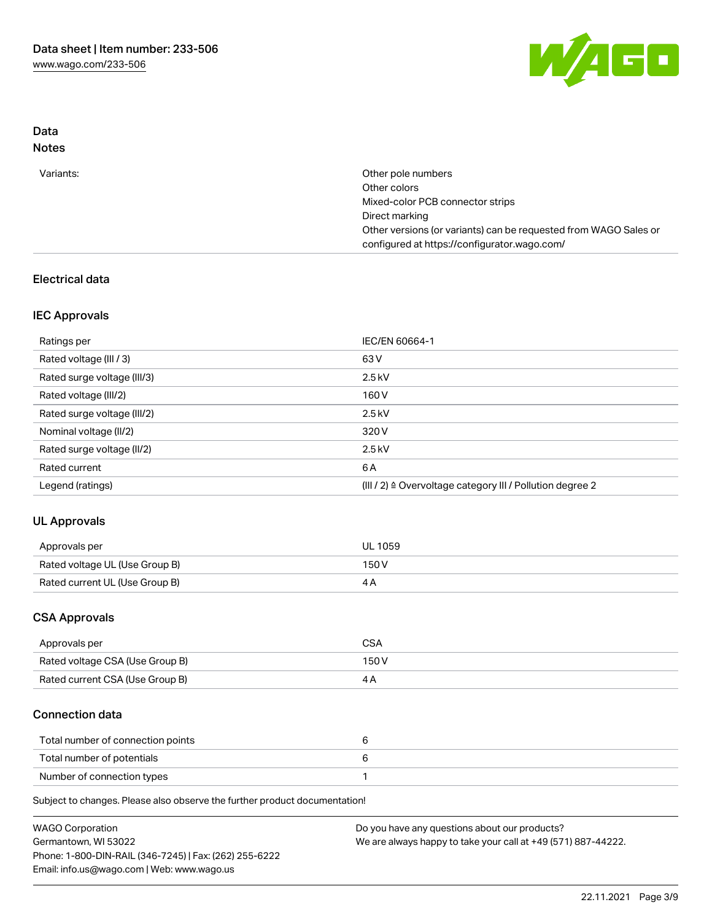

## Data Notes

| Variants: | Other pole numbers                                               |
|-----------|------------------------------------------------------------------|
|           | Other colors                                                     |
|           | Mixed-color PCB connector strips                                 |
|           | Direct marking                                                   |
|           | Other versions (or variants) can be requested from WAGO Sales or |
|           | configured at https://configurator.wago.com/                     |

## Electrical data

## IEC Approvals

| Ratings per                 | IEC/EN 60664-1                                                        |
|-----------------------------|-----------------------------------------------------------------------|
| Rated voltage (III / 3)     | 63 V                                                                  |
| Rated surge voltage (III/3) | $2.5$ kV                                                              |
| Rated voltage (III/2)       | 160 V                                                                 |
| Rated surge voltage (III/2) | $2.5$ kV                                                              |
| Nominal voltage (II/2)      | 320 V                                                                 |
| Rated surge voltage (II/2)  | $2.5$ kV                                                              |
| Rated current               | 6 A                                                                   |
| Legend (ratings)            | $(III / 2)$ $\triangle$ Overvoltage category III / Pollution degree 2 |

# UL Approvals

| Approvals per                  | <b>UL 1059</b> |
|--------------------------------|----------------|
| Rated voltage UL (Use Group B) | 150V           |
| Rated current UL (Use Group B) |                |

## CSA Approvals

| Approvals per                   | CSA   |
|---------------------------------|-------|
| Rated voltage CSA (Use Group B) | 150 V |
| Rated current CSA (Use Group B) |       |

## Connection data

| Total number of connection points |  |
|-----------------------------------|--|
| Total number of potentials        |  |
| Number of connection types        |  |

Subject to changes. Please also observe the further product documentation!

| <b>WAGO Corporation</b>                                | Do you have any questions about our products?                 |
|--------------------------------------------------------|---------------------------------------------------------------|
| Germantown, WI 53022                                   | We are always happy to take your call at +49 (571) 887-44222. |
| Phone: 1-800-DIN-RAIL (346-7245)   Fax: (262) 255-6222 |                                                               |
| Email: info.us@wago.com   Web: www.wago.us             |                                                               |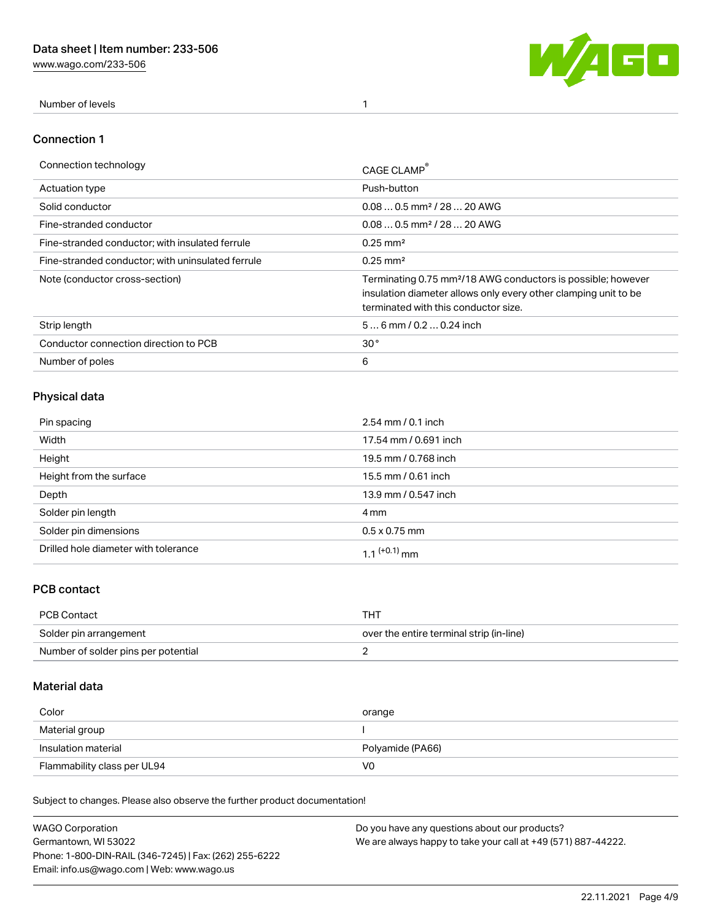[www.wago.com/233-506](http://www.wago.com/233-506)



Number of levels 1

#### Connection 1

| Connection technology                             | CAGE CLAMP                                                                                                                                                                          |
|---------------------------------------------------|-------------------------------------------------------------------------------------------------------------------------------------------------------------------------------------|
| Actuation type                                    | Push-button                                                                                                                                                                         |
| Solid conductor                                   | $0.080.5$ mm <sup>2</sup> / 28  20 AWG                                                                                                                                              |
| Fine-stranded conductor                           | $0.080.5$ mm <sup>2</sup> / 28  20 AWG                                                                                                                                              |
| Fine-stranded conductor; with insulated ferrule   | $0.25 \text{ mm}^2$                                                                                                                                                                 |
| Fine-stranded conductor: with uninsulated ferrule | $0.25 \text{ mm}^2$                                                                                                                                                                 |
| Note (conductor cross-section)                    | Terminating 0.75 mm <sup>2</sup> /18 AWG conductors is possible; however<br>insulation diameter allows only every other clamping unit to be<br>terminated with this conductor size. |
| Strip length                                      | $56$ mm $/ 0.20.24$ inch                                                                                                                                                            |
| Conductor connection direction to PCB             | 30 <sup>°</sup>                                                                                                                                                                     |
| Number of poles                                   | 6                                                                                                                                                                                   |

# Physical data

| Pin spacing                          | $2.54 \, \text{mm}$ / 0.1 inch |
|--------------------------------------|--------------------------------|
| Width                                | 17.54 mm / 0.691 inch          |
| Height                               | 19.5 mm / 0.768 inch           |
| Height from the surface              | 15.5 mm / 0.61 inch            |
| Depth                                | 13.9 mm / 0.547 inch           |
| Solder pin length                    | 4 mm                           |
| Solder pin dimensions                | $0.5 \times 0.75$ mm           |
| Drilled hole diameter with tolerance | 1.1 <sup>(+0.1)</sup> mm       |

## PCB contact

| PCB Contact                         | тнт                                      |
|-------------------------------------|------------------------------------------|
| Solder pin arrangement              | over the entire terminal strip (in-line) |
| Number of solder pins per potential |                                          |

## Material data

| Color                       | orange           |
|-----------------------------|------------------|
| Material group              |                  |
| Insulation material         | Polyamide (PA66) |
| Flammability class per UL94 | V0               |

Subject to changes. Please also observe the further product documentation!

| <b>WAGO Corporation</b>                                | Do you have any questions about our products?                 |
|--------------------------------------------------------|---------------------------------------------------------------|
| Germantown, WI 53022                                   | We are always happy to take your call at +49 (571) 887-44222. |
| Phone: 1-800-DIN-RAIL (346-7245)   Fax: (262) 255-6222 |                                                               |
| Email: info.us@wago.com   Web: www.wago.us             |                                                               |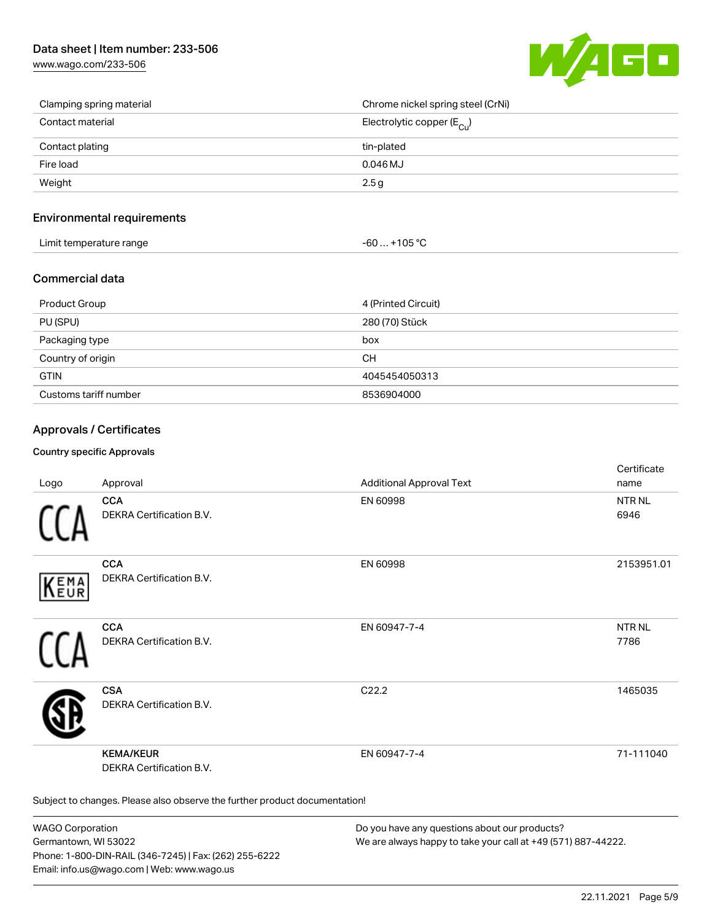# Data sheet | Item number: 233-506

[www.wago.com/233-506](http://www.wago.com/233-506)



| Clamping spring material | Chrome nickel spring steel (CrNi)       |
|--------------------------|-----------------------------------------|
| Contact material         | Electrolytic copper ( $E_{\text{Cu}}$ ) |
| Contact plating          | tin-plated                              |
| Fire load                | $0.046$ MJ                              |
| Weight                   | 2.5 <sub>g</sub>                        |

## Environmental requirements

| Limit temperature range | $-60+105 °C$ |
|-------------------------|--------------|
|-------------------------|--------------|

#### Commercial data

| <b>Product Group</b>  | 4 (Printed Circuit) |
|-----------------------|---------------------|
| PU (SPU)              | 280 (70) Stück      |
| Packaging type        | box                 |
| Country of origin     | CН                  |
| <b>GTIN</b>           | 4045454050313       |
| Customs tariff number | 8536904000          |

## Approvals / Certificates

#### Country specific Approvals

| Logo       | Approval                                                                   | <b>Additional Approval Text</b> | Certificate<br>name       |
|------------|----------------------------------------------------------------------------|---------------------------------|---------------------------|
|            | <b>CCA</b><br>DEKRA Certification B.V.                                     | EN 60998                        | <b>NTR NL</b><br>6946     |
| EMA<br>EUR | <b>CCA</b><br>DEKRA Certification B.V.                                     | EN 60998                        | 2153951.01                |
|            | <b>CCA</b><br>DEKRA Certification B.V.                                     | EN 60947-7-4                    | NTR <sub>NL</sub><br>7786 |
|            | <b>CSA</b><br>DEKRA Certification B.V.                                     | C22.2                           | 1465035                   |
|            | <b>KEMA/KEUR</b><br>DEKRA Certification B.V.                               | EN 60947-7-4                    | 71-111040                 |
|            | Subject to changes. Please also observe the further product documentation! |                                 |                           |

WAGO Corporation Germantown, WI 53022 Phone: 1-800-DIN-RAIL (346-7245) | Fax: (262) 255-6222 Email: info.us@wago.com | Web: www.wago.us

Do you have any questions about our products? We are always happy to take your call at +49 (571) 887-44222.

certificate in the contraction of the contraction of the contraction of the contraction of the contraction of the contraction of the contraction of the contraction of the contraction of the contraction of the contraction o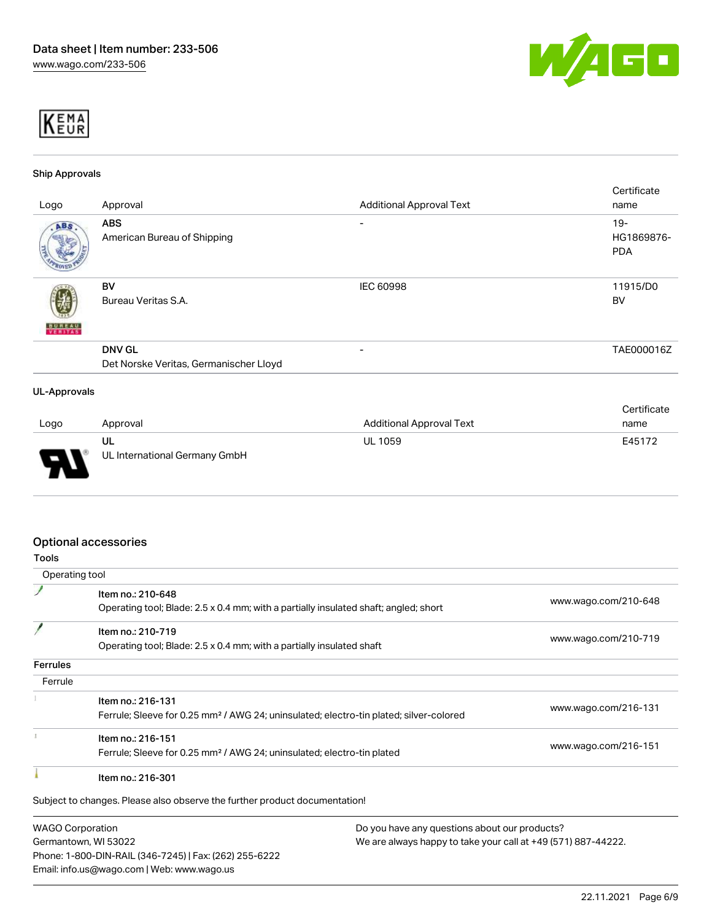



#### Ship Approvals

|                     |                                        |                                 | Certificate |
|---------------------|----------------------------------------|---------------------------------|-------------|
| Logo                | Approval                               | <b>Additional Approval Text</b> | name        |
| ABS                 | <b>ABS</b>                             | $\overline{\phantom{0}}$        | $19 -$      |
|                     | American Bureau of Shipping            |                                 | HG1869876-  |
|                     |                                        |                                 | <b>PDA</b>  |
|                     | BV                                     | IEC 60998                       | 11915/D0    |
|                     | Bureau Veritas S.A.                    |                                 | BV          |
| <b>BUNEAU</b>       |                                        |                                 |             |
|                     |                                        |                                 |             |
|                     | <b>DNV GL</b>                          | -                               | TAE000016Z  |
|                     | Det Norske Veritas, Germanischer Lloyd |                                 |             |
|                     |                                        |                                 |             |
| <b>UL-Approvals</b> |                                        |                                 |             |
|                     |                                        |                                 | Certificate |

| Logo | Approval                            | Additional Approval Text | name   |
|------|-------------------------------------|--------------------------|--------|
| ſ    | UL<br>UL International Germany GmbH | UL 1059                  | E45172 |

## Optional accessories

| <b>Tools</b>       |                                                                                                    |                      |
|--------------------|----------------------------------------------------------------------------------------------------|----------------------|
| Operating tool     |                                                                                                    |                      |
|                    | Item no.: 210-648                                                                                  |                      |
|                    | Operating tool; Blade: 2.5 x 0.4 mm; with a partially insulated shaft; angled; short               | www.wago.com/210-648 |
|                    | Item no.: 210-719                                                                                  |                      |
|                    | Operating tool; Blade: 2.5 x 0.4 mm; with a partially insulated shaft                              | www.wago.com/210-719 |
| <b>Ferrules</b>    |                                                                                                    |                      |
| Ferrule            |                                                                                                    |                      |
|                    | Item no.: 216-131                                                                                  |                      |
|                    | Ferrule; Sleeve for 0.25 mm <sup>2</sup> / AWG 24; uninsulated; electro-tin plated; silver-colored | www.wago.com/216-131 |
|                    | Item no.: 216-151                                                                                  |                      |
|                    | Ferrule; Sleeve for 0.25 mm <sup>2</sup> / AWG 24; uninsulated; electro-tin plated                 | www.wago.com/216-151 |
|                    | Item no.: 216-301                                                                                  |                      |
|                    | Subject to changes. Please also observe the further product documentation!                         |                      |
| $MACO$ Corporation | Do vou hove any questions about our producte?                                                      |                      |

WAGO Corporation Germantown, WI 53022 Phone: 1-800-DIN-RAIL (346-7245) | Fax: (262) 255-6222 Email: info.us@wago.com | Web: www.wago.us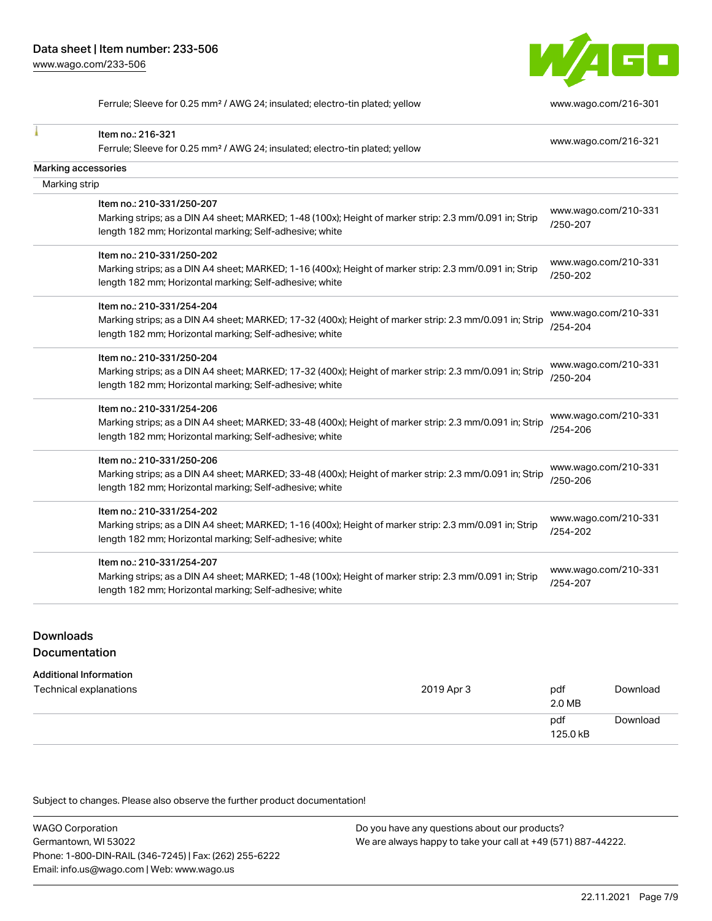

Ferrule; Sleeve for 0.25 mm² / AWG 24; insulated; electro-tin plated; yellow [www.wago.com/216-301](http://www.wago.com/216-301)

| Item no.: 216-321                                                                                       | www.wago.com/216-321             |
|---------------------------------------------------------------------------------------------------------|----------------------------------|
| Ferrule; Sleeve for 0.25 mm <sup>2</sup> / AWG 24; insulated; electro-tin plated; yellow                |                                  |
| <b>Marking accessories</b>                                                                              |                                  |
| Marking strip                                                                                           |                                  |
| Item no.: 210-331/250-207                                                                               |                                  |
| Marking strips; as a DIN A4 sheet; MARKED; 1-48 (100x); Height of marker strip: 2.3 mm/0.091 in; Strip  | www.wago.com/210-331             |
| length 182 mm; Horizontal marking; Self-adhesive; white                                                 | /250-207                         |
| Item no.: 210-331/250-202                                                                               |                                  |
| Marking strips; as a DIN A4 sheet; MARKED; 1-16 (400x); Height of marker strip: 2.3 mm/0.091 in; Strip  | www.wago.com/210-331             |
| length 182 mm; Horizontal marking; Self-adhesive; white                                                 | /250-202                         |
| Item no.: 210-331/254-204                                                                               |                                  |
| Marking strips; as a DIN A4 sheet; MARKED; 17-32 (400x); Height of marker strip: 2.3 mm/0.091 in; Strip | www.wago.com/210-331             |
| length 182 mm; Horizontal marking; Self-adhesive; white                                                 | /254-204                         |
| Item no.: 210-331/250-204                                                                               |                                  |
| Marking strips; as a DIN A4 sheet; MARKED; 17-32 (400x); Height of marker strip: 2.3 mm/0.091 in; Strip | www.wago.com/210-331<br>/250-204 |
| length 182 mm; Horizontal marking; Self-adhesive; white                                                 |                                  |
| Item no.: 210-331/254-206                                                                               |                                  |
| Marking strips; as a DIN A4 sheet; MARKED; 33-48 (400x); Height of marker strip: 2.3 mm/0.091 in; Strip | www.wago.com/210-331<br>/254-206 |
| length 182 mm; Horizontal marking; Self-adhesive; white                                                 |                                  |
| Item no.: 210-331/250-206                                                                               |                                  |
| Marking strips; as a DIN A4 sheet; MARKED; 33-48 (400x); Height of marker strip: 2.3 mm/0.091 in; Strip | www.wago.com/210-331<br>/250-206 |
| length 182 mm; Horizontal marking; Self-adhesive; white                                                 |                                  |
| Item no.: 210-331/254-202                                                                               |                                  |
| Marking strips; as a DIN A4 sheet; MARKED; 1-16 (400x); Height of marker strip: 2.3 mm/0.091 in; Strip  | www.wago.com/210-331<br>/254-202 |
| length 182 mm; Horizontal marking; Self-adhesive; white                                                 |                                  |
| Item no.: 210-331/254-207                                                                               |                                  |
| Marking strips; as a DIN A4 sheet; MARKED; 1-48 (100x); Height of marker strip: 2.3 mm/0.091 in; Strip  | www.wago.com/210-331<br>/254-207 |
| length 182 mm; Horizontal marking; Self-adhesive; white                                                 |                                  |

# **Downloads** Documentation

#### Additional Information

| Technical explanations | 2019 Apr 3 | pdf      | Download |
|------------------------|------------|----------|----------|
|                        |            | 2.0 MB   |          |
|                        |            | pdf      | Download |
|                        |            | 125.0 kB |          |
|                        |            |          |          |

Subject to changes. Please also observe the further product documentation!

WAGO Corporation Germantown, WI 53022 Phone: 1-800-DIN-RAIL (346-7245) | Fax: (262) 255-6222 Email: info.us@wago.com | Web: www.wago.us Do you have any questions about our products? We are always happy to take your call at +49 (571) 887-44222.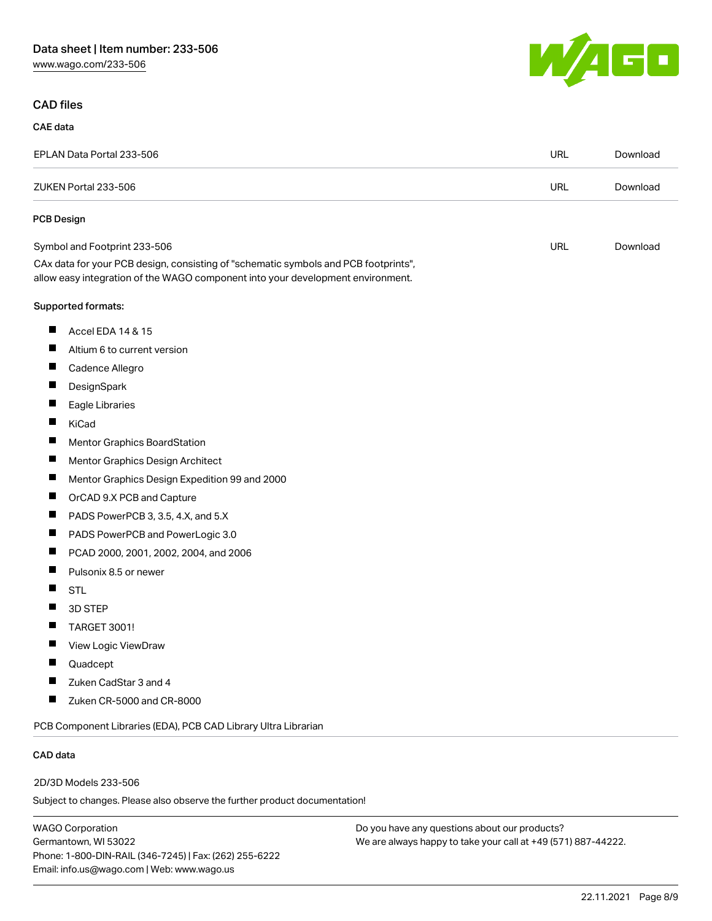# Data sheet | Item number: 233-506

[www.wago.com/233-506](http://www.wago.com/233-506)



## CAD files

CAE data

#### EPLAN Data Portal 233-506 URL [Download](https://www.wago.com/global/d/EPLAN_URLS_233-506) ZUKEN Portal 233-506 URL [Download](https://www.wago.com/global/d/Zuken_URLS_233-506) PCB Design Symbol and Footprint 233-506 URL [Download](https://www.wago.com/global/d/UltraLibrarian_URLS_233-506) CAx data for your PCB design, consisting of "schematic symbols and PCB footprints", allow easy integration of the WAGO component into your development environment. Supported formats:  $\blacksquare$ Accel EDA 14 & 15  $\blacksquare$ Altium 6 to current version П Cadence Allegro П **DesignSpark**  $\blacksquare$ Eagle Libraries  $\blacksquare$ KiCad  $\blacksquare$ Mentor Graphics BoardStation  $\blacksquare$ Mentor Graphics Design Architect  $\blacksquare$ Mentor Graphics Design Expedition 99 and 2000  $\blacksquare$ OrCAD 9.X PCB and Capture  $\blacksquare$ PADS PowerPCB 3, 3.5, 4.X, and 5.X  $\blacksquare$ PADS PowerPCB and PowerLogic 3.0  $\blacksquare$ PCAD 2000, 2001, 2002, 2004, and 2006  $\blacksquare$ Pulsonix 8.5 or newer  $\blacksquare$ STL  $\blacksquare$ 3D STEP  $\blacksquare$ TARGET 3001!  $\blacksquare$ View Logic ViewDraw П Quadcept  $\blacksquare$ Zuken CadStar 3 and 4  $\blacksquare$ Zuken CR-5000 and CR-8000 PCB Component Libraries (EDA), PCB CAD Library Ultra Librarian

#### CAD data

2D/3D Models 233-506

Subject to changes. Please also observe the further product documentation!

WAGO Corporation Germantown, WI 53022 Phone: 1-800-DIN-RAIL (346-7245) | Fax: (262) 255-6222 Email: info.us@wago.com | Web: www.wago.us